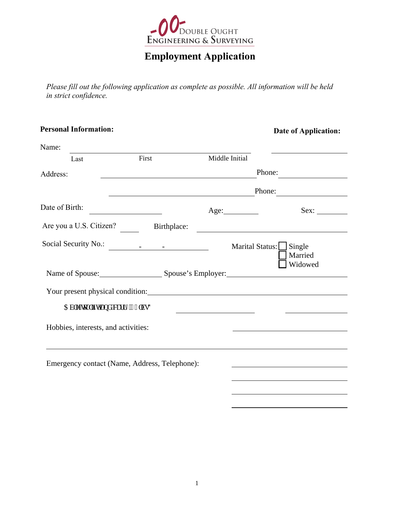

# **Employment Application**

*Please fill out the following application as complete as possible. All information will be held in strict confidence.* 

| <b>Personal Information:</b>                  |             |                                                                                                                        | <b>Date of Application:</b>                                                                                                   |
|-----------------------------------------------|-------------|------------------------------------------------------------------------------------------------------------------------|-------------------------------------------------------------------------------------------------------------------------------|
| Name:                                         |             |                                                                                                                        |                                                                                                                               |
| Last                                          | First       | Middle Initial                                                                                                         |                                                                                                                               |
| Address:                                      |             |                                                                                                                        | Phone:<br><u> 1980 - Jan Barat, prima populație de la proprietat de la proprietat de la proprietat de la proprietat de la</u> |
|                                               |             | <u> 1989 - Johann Stoff, deutscher Stoffen und der Stoffen und der Stoffen und der Stoffen und der Stoffen und der</u> | Phone:                                                                                                                        |
| Date of Birth:                                |             | Age:                                                                                                                   | Sex:                                                                                                                          |
| Are you a U.S. Citizen?                       | Birthplace: |                                                                                                                        | <u> 1989 - Johann Barn, mars eta bainar eta industrial eta industrial eta industrial eta industrial eta industria</u>         |
| Social Security No.:                          |             | Marital Status:                                                                                                        | $\Box$ Single<br>Married                                                                                                      |
|                                               |             |                                                                                                                        | Widowed<br>Name of Spouse: Spouse 's Employer: Spouse's Employer:                                                             |
|                                               |             |                                                                                                                        |                                                                                                                               |
| Cdm'\q'\th\v'\cpf 'ectt{'72mluA               |             | <u> 1989 - Johann Barbara, martin a</u>                                                                                |                                                                                                                               |
| Hobbies, interests, and activities:           |             |                                                                                                                        |                                                                                                                               |
| Emergency contact (Name, Address, Telephone): |             |                                                                                                                        |                                                                                                                               |
|                                               |             |                                                                                                                        |                                                                                                                               |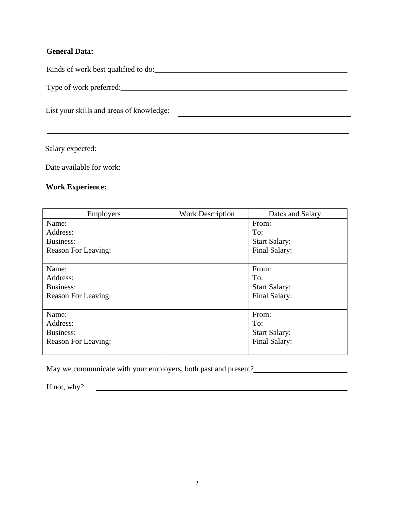### **General Data:**

Kinds of work best qualified to do:

Type of work preferred:

List your skills and areas of knowledge:

Salary expected:

Date available for work: \_\_\_\_\_\_\_

### **Work Experience:**

| <b>Employers</b>           | <b>Work Description</b> | Dates and Salary     |
|----------------------------|-------------------------|----------------------|
| Name:                      |                         | From:                |
| Address:                   |                         | To:                  |
| Business:                  |                         | <b>Start Salary:</b> |
| <b>Reason For Leaving:</b> |                         | Final Salary:        |
|                            |                         |                      |
| Name:                      |                         | From:                |
| Address:                   |                         | To:                  |
| Business:                  |                         | <b>Start Salary:</b> |
| <b>Reason For Leaving:</b> |                         | Final Salary:        |
|                            |                         |                      |
| Name:                      |                         | From:                |
| Address:                   |                         | To:                  |
| Business:                  |                         | <b>Start Salary:</b> |
| <b>Reason For Leaving:</b> |                         | Final Salary:        |
|                            |                         |                      |

May we communicate with your employers, both past and present?

If not, why?